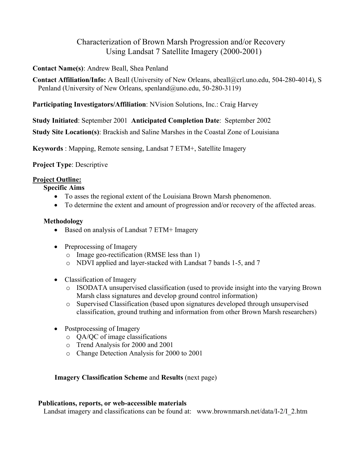# Characterization of Brown Marsh Progression and/or Recovery Using Landsat 7 Satellite Imagery (2000-2001)

### **Contact Name(s)**: Andrew Beall, Shea Penland

**Contact Affiliation/Info:** A Beall (University of New Orleans, abeall@crl.uno.edu, 504-280-4014), S Penland (University of New Orleans, spenland@uno.edu, 50-280-3119)

# **Participating Investigators/Affiliation**: NVision Solutions, Inc.: Craig Harvey

**Study Initiated**: September 2001 **Anticipated Completion Date**: September 2002

**Study Site Location(s)**: Brackish and Saline Marshes in the Coastal Zone of Louisiana

**Keywords** : Mapping, Remote sensing, Landsat 7 ETM+, Satellite Imagery

# **Project Type**: Descriptive

# **Project Outline:**

# **Specific Aims**

- To asses the regional extent of the Louisiana Brown Marsh phenomenon.
- To determine the extent and amount of progression and/or recovery of the affected areas.

#### **Methodology**

- Based on analysis of Landsat 7 ETM+ Imagery
- Preprocessing of Imagery
	- o Image geo-rectification (RMSE less than 1)
	- o NDVI applied and layer-stacked with Landsat 7 bands 1-5, and 7
- Classification of Imagery
	- o ISODATA unsupervised classification (used to provide insight into the varying Brown Marsh class signatures and develop ground control information)
	- o Supervised Classification (based upon signatures developed through unsupervised classification, ground truthing and information from other Brown Marsh researchers)
- Postprocessing of Imagery
	- o QA/QC of image classifications
	- o Trend Analysis for 2000 and 2001
	- o Change Detection Analysis for 2000 to 2001

# **Imagery Classification Scheme** and **Results** (next page)

#### **Publications, reports, or web-accessible materials**

Landsat imagery and classifications can be found at: www.brownmarsh.net/data/I-2/I\_2.htm